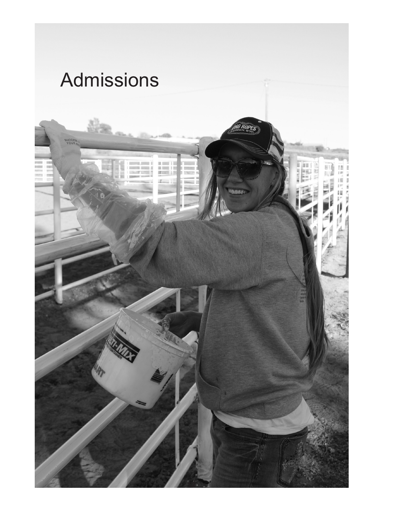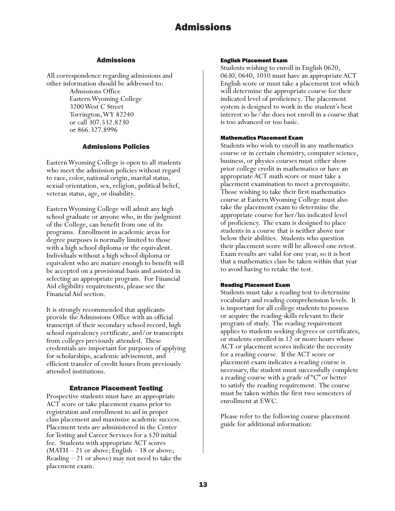#### Admissions

All correspondence regarding admissions and other information should be addressed to:

> Admissions Office Eastern Wyoming College 3200 West C Street Torrington, WY 82240 or call 307.532.8230 or 866.327.8996

### Admissions Policies

Eastern Wyoming College is open to all students who meet the admission policies without regard to race, color, national origin, marital status, sexual orientation, sex, religion, political belief, veteran status, age, or disability.

Eastern Wyoming College will admit any high school graduate or anyone who, in the judgment of the College, can benefit from one of its programs. Enrollment in academic areas for degree purposes is normally limited to those with a high school diploma or the equivalent. Individuals without a high school diploma or equivalent who are mature enough to benefit will be accepted on a provisional basis and assisted in selecting an appropriate program. For Financial Aid eligibility requirements, please see the Financial Aid section.

It is strongly recommended that applicants provide the Admissions Office with an official transcript of their secondary school record, high school equivalency certificate, and/or transcripts from colleges previously attended. These credentials are important for purposes of applying for scholarships, academic advisement, and efficient transfer of credit hours from previously attended institutions.

#### Entrance Placement Testing

Prospective students must have an appropriate ACT score or take placement exams prior to registration and enrollment to aid in proper class placement and maximize academic success. Placement tests are administered in the Center for Testing and Career Services for a \$20 initial fee. Students with appropriate ACT scores (MATH – 21 or above; English – 18 or above; Reading – 21 or above) may not need to take the placement exam.

#### English Placement Exam

Students wishing to enroll in English 0620, 0630, 0640, 1010 must have an appropriate ACT English score or must take a placement test which will determine the appropriate course for their indicated level of proficiency. The placement system is designed to work in the student's best interest so he/she does not enroll in a course that is too advanced or too basic.

#### Mathematics Placement Exam

Students who wish to enroll in any mathematics course or in certain chemistry, computer science, business, or physics courses must either show prior college credit in mathematics or have an appropriate ACT math score or must take a placement examination to meet a prerequisite. Those wishing to take their first mathematics course at Eastern Wyoming College must also take the placement exam to determine the appropriate course for her/his indicated level of proficiency. The exam is designed to place students in a course that is neither above nor below their abilities. Students who question their placement score will be allowed one retest. Exam results are valid for one year, so it is best that a mathematics class be taken within that year to avoid having to retake the test.

#### Reading Placement Exam

Students must take a reading test to determine vocabulary and reading comprehension levels. It is important for all college students to possess or acquire the reading skills relevant to their program of study. The reading requirement applies to students seeking degrees or certificates, or students enrolled in 12 or more hours whose ACT or placement scores indicate the necessity for a reading course. If the ACT score or placement exam indicates a reading course is necessary, the student must successfully complete a reading course with a grade of "C" or better to satisfy the reading requirement. The course must be taken within the first two semesters of enrollment at EWC.

Please refer to the following course placement guide for additional information: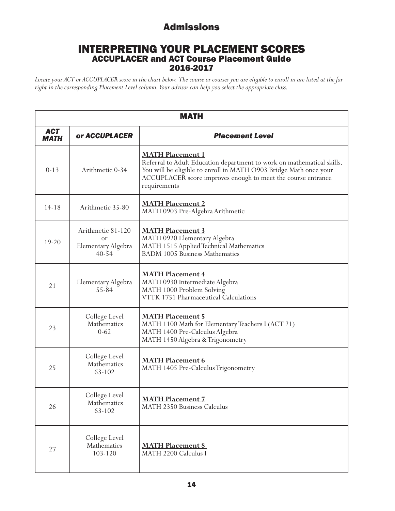## INTERPRETING YOUR PLACEMENT SCORES ACCUPLACER and ACT Course Placement Guide 2016-2017

*Locate your ACT or ACCUPLACER score in the chart below. The course or courses you are eligible to enroll in are listed at the far right in the corresponding Placement Level column. Your advisor can help you select the appropriate class.* 

| <b>MATH</b>               |                                                            |                                                                                                                                                                                                                                                        |  |
|---------------------------|------------------------------------------------------------|--------------------------------------------------------------------------------------------------------------------------------------------------------------------------------------------------------------------------------------------------------|--|
| <b>ACT</b><br><b>MATH</b> | or ACCUPLACER                                              | <b>Placement Level</b>                                                                                                                                                                                                                                 |  |
| $0 - 13$                  | Arithmetic 0-34                                            | <b>MATH Placement 1</b><br>Referral to Adult Education department to work on mathematical skills.<br>You will be eligible to enroll in MATH O903 Bridge Math once your<br>ACCUPLACER score improves enough to meet the course entrance<br>requirements |  |
| $14 - 18$                 | Arithmetic 35-80                                           | <b>MATH Placement 2</b><br>MATH 0903 Pre-Algebra Arithmetic                                                                                                                                                                                            |  |
| $19 - 20$                 | Arithmetic 81-120<br>or<br>Elementary Algebra<br>$40 - 54$ | <b>MATH Placement 3</b><br>MATH 0920 Elementary Algebra<br>MATH 1515 Applied Technical Mathematics<br><b>BADM 1005 Business Mathematics</b>                                                                                                            |  |
| 21                        | Elementary Algebra<br>$55 - 84$                            | <b>MATH Placement 4</b><br>MATH 0930 Intermediate Algebra<br>MATH 1000 Problem Solving<br>VTTK 1751 Pharmaceutical Calculations                                                                                                                        |  |
| 23                        | College Level<br>Mathematics<br>$0 - 62$                   | <b>MATH Placement 5</b><br>MATH 1100 Math for Elementary Teachers I (ACT 21)<br>MATH 1400 Pre-Calculus Algebra<br>MATH 1450 Algebra & Trigonometry                                                                                                     |  |
| 25                        | College Level<br>Mathematics<br>63-102                     | <b>MATH Placement 6</b><br>MATH 1405 Pre-Calculus Trigonometry                                                                                                                                                                                         |  |
| 26                        | College Level<br>Mathematics<br>63-102                     | <b>MATH Placement 7</b><br>MATH 2350 Business Calculus                                                                                                                                                                                                 |  |
| 27                        | College Level<br>Mathematics<br>103-120                    | <b>MATH Placement 8</b><br>MATH 2200 Calculus I                                                                                                                                                                                                        |  |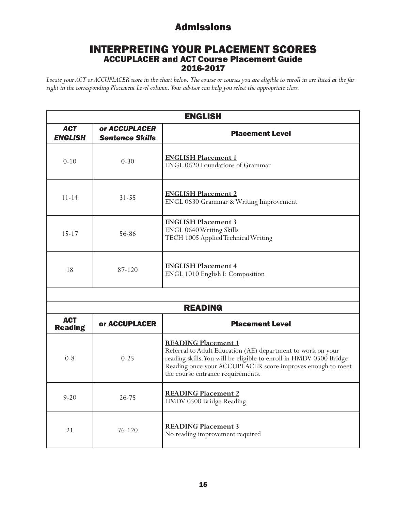## INTERPRETING YOUR PLACEMENT SCORES ACCUPLACER and ACT Course Placement Guide 2016-2017

*Locate your ACT or ACCUPLACER score in the chart below. The course or courses you are eligible to enroll in are listed at the far right in the corresponding Placement Level column. Your advisor can help you select the appropriate class.* 

| <b>ENGLISH</b>               |                                         |                                                                                                                                                                                                                                                                    |  |  |
|------------------------------|-----------------------------------------|--------------------------------------------------------------------------------------------------------------------------------------------------------------------------------------------------------------------------------------------------------------------|--|--|
| <b>ACT</b><br><b>ENGLISH</b> | or ACCUPLACER<br><b>Sentence Skills</b> | <b>Placement Level</b>                                                                                                                                                                                                                                             |  |  |
| $0-10$                       | $0 - 30$                                | <b>ENGLISH Placement 1</b><br>ENGL 0620 Foundations of Grammar                                                                                                                                                                                                     |  |  |
| $11 - 14$                    | $31 - 55$                               | <b>ENGLISH Placement 2</b><br>ENGL 0630 Grammar & Writing Improvement                                                                                                                                                                                              |  |  |
| $15 - 17$                    | 56-86                                   | <b>ENGLISH Placement 3</b><br>ENGL 0640 Writing Skills<br>TECH 1005 Applied Technical Writing                                                                                                                                                                      |  |  |
| 18                           | 87-120                                  | <b>ENGLISH Placement 4</b><br>ENGL 1010 English I: Composition                                                                                                                                                                                                     |  |  |
|                              |                                         |                                                                                                                                                                                                                                                                    |  |  |
|                              |                                         | <b>READING</b>                                                                                                                                                                                                                                                     |  |  |
| <b>ACT</b><br><b>Reading</b> | or ACCUPLACER                           | <b>Placement Level</b>                                                                                                                                                                                                                                             |  |  |
| $0 - 8$                      | $0 - 25$                                | <b>READING Placement 1</b><br>Referral to Adult Education (AE) department to work on your<br>reading skills. You will be eligible to enroll in HMDV 0500 Bridge<br>Reading once your ACCUPLACER score improves enough to meet<br>the course entrance requirements. |  |  |
| $9 - 20$                     | $26 - 75$                               | <b>READING Placement 2</b><br>HMDV 0500 Bridge Reading                                                                                                                                                                                                             |  |  |
| 21                           | 76-120                                  | <b>READING Placement 3</b><br>No reading improvement required                                                                                                                                                                                                      |  |  |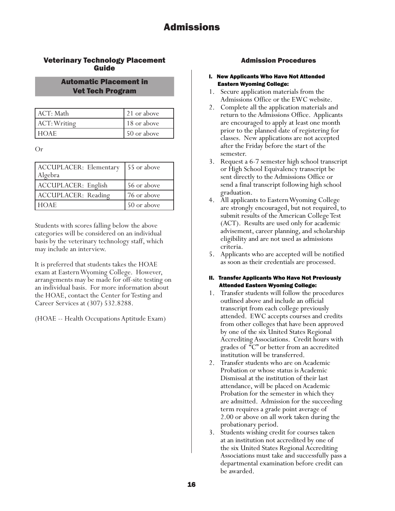## Veterinary Technology Placement Guide

## Automatic Placement in Vet Tech Program

| ACT: Math    | 21 or above |
|--------------|-------------|
| ACT: Writing | 18 or above |
| . HOAE .     | 50 or above |

Or

| <b>ACCUPLACER: Elementary</b><br>Algebra | 55 or above |
|------------------------------------------|-------------|
| ACCUPLACER: English                      | 56 or above |
| ACCUPLACER: Reading                      | 76 or above |
| I HOAE.                                  | 50 or above |

Students with scores falling below the above categories will be considered on an individual basis by the veterinary technology staff, which may include an interview.

It is preferred that students takes the HOAE exam at Eastern Wyoming College. However, arrangements may be made for off-site testing on an individual basis. For more information about the HOAE, contact the Center for Testing and Career Services at (307) 532.8288.

(HOAE -- Health Occupations Aptitude Exam)

## Admission Procedures

- I. New Applicants Who Have Not Attended Eastern Wyoming College:
- 1. Secure application materials from the Admissions Office or the EWC website.
- 2. Complete all the application materials and return to the Admissions Office. Applicants are encouraged to apply at least one month prior to the planned date of registering for classes. New applications are not accepted after the Friday before the start of the semester.
- 3. Request a 6-7 semester high school transcript or High School Equivalency transcript be sent directly to the Admissions Office or send a final transcript following high school graduation.
- 4. All applicants to Eastern Wyoming College are strongly encouraged, but not required, to submit results of the American College Test (ACT). Results are used only for academic advisement, career planning, and scholarship eligibility and are not used as admissions criteria.
- 5. Applicants who are accepted will be notified as soon as their credentials are processed.

### II. Transfer Applicants Who Have Not Previously Attended Eastern Wyoming College:

- 1. Transfer students will follow the procedures outlined above and include an official transcript from each college previously attended. EWC accepts courses and credits from other colleges that have been approved by one of the six United States Regional Accrediting Associations. Credit hours with grades of "C" or better from an accredited institution will be transferred.
- 2. Transfer students who are on Academic Probation or whose status is Academic Dismissal at the institution of their last attendance, will be placed on Academic Probation for the semester in which they are admitted. Admission for the succeeding term requires a grade point average of 2.00 or above on all work taken during the probationary period.
- 3. Students wishing credit for courses taken at an institution not accredited by one of the six United States Regional Accrediting Associations must take and successfully pass a departmental examination before credit can be awarded.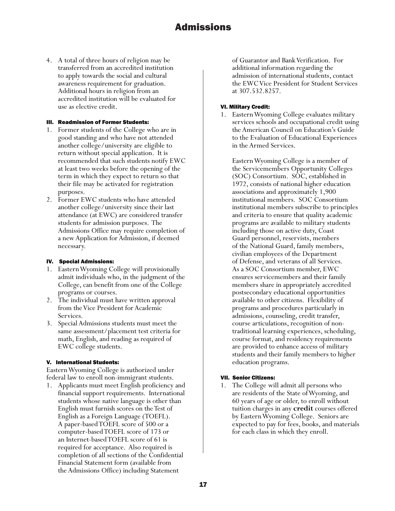4. A total of three hours of religion may be transferred from an accredited institution to apply towards the social and cultural awareness requirement for graduation. Additional hours in religion from an accredited institution will be evaluated for use as elective credit.

#### III. Readmission of Former Students:

- 1. Former students of the College who are in good standing and who have not attended another college/university are eligible to return without special application. It is recommended that such students notify EWC at least two weeks before the opening of the term in which they expect to return so that their file may be activated for registration purposes.
- 2. Former EWC students who have attended another college/university since their last attendance (at EWC) are considered transfer students for admission purposes. The Admissions Office may require completion of a new Application for Admission, if deemed necessary.

#### IV. Special Admissions:

- 1. Eastern Wyoming College will provisionally admit individuals who, in the judgment of the College, can benefit from one of the College programs or courses.
- 2. The individual must have written approval from the Vice President for Academic Services.
- 3. Special Admissions students must meet the same assessment/placement test criteria for math, English, and reading as required of EWC college students.

### V. International Students:

Eastern Wyoming College is authorized under federal law to enroll non-immigrant students.

1. Applicants must meet English proficiency and financial support requirements. International students whose native language is other than English must furnish scores on the Test of English as a Foreign Language (TOEFL). A paper-based TOEFL score of 500 or a computer-based TOEFL score of 173 or an Internet-based TOEFL score of 61 is required for acceptance. Also required is completion of all sections of the Confidential Financial Statement form (available from the Admissions Office) including Statement

of Guarantor and Bank Verification. For additional information regarding the admission of international students, contact the EWC Vice President for Student Services at 307.532.8257.

#### VI. Military Credit:

1. Eastern Wyoming College evaluates military services schools and occupational credit using the American Council on Education's Guide to the Evaluation of Educational Experiences in the Armed Services.

Eastern Wyoming College is a member of the Servicemembers Opportunity Colleges (SOC) Consortium. SOC, established in 1972, consists of national higher education associations and approximately 1,900 institutional members. SOC Consortium institutional members subscribe to principles and criteria to ensure that quality academic programs are available to military students including those on active duty, Coast Guard personnel, reservists, members of the National Guard, family members, civilian employees of the Department of Defense, and veterans of all Services. As a SOC Consortium member, EWC ensures servicemembers and their family members share in appropriately accredited postsecondary educational opportunities available to other citizens. Flexibility of programs and procedures particularly in admissions, counseling, credit transfer, course articulations, recognition of nontraditional learning experiences, scheduling, course format, and residency requirements are provided to enhance access of military students and their family members to higher education programs.

#### VII. Senior Citizens:

1. The College will admit all persons who are residents of the State of Wyoming, and 60 years of age or older, to enroll without tuition charges in any **credit** courses offered by Eastern Wyoming College. Seniors are expected to pay for fees, books, and materials for each class in which they enroll.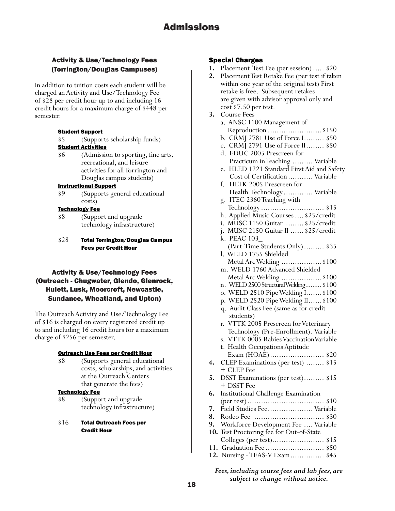## Activity & Use/Technology Fees (Torrington/Douglas Campuses)

In addition to tuition costs each student will be charged an Activity and Use/Technology Fee of \$28 per credit hour up to and including 16 credit hours for a maximum charge of \$448 per semester.

#### **Student Support**

\$5 (Supports scholarship funds)

#### **Student Activities**

\$6 (Admission to sporting, fine arts, recreational, and leisure activities for all Torrington and Douglas campus students)

#### Instructional Support

\$9 (Supports general educational costs)

#### Technology Fee

- \$8 (Support and upgrade technology infrastructure)
- \$28 Total Torrington/Douglas Campus Fees per Credit Hour

## Activity & Use/Technology Fees (Outreach - Chugwater, Glendo, Glenrock, Hulett, Lusk, Moorcroft, Newcastle, Sundance, Wheatland, and Upton)

The Outreach Activity and Use/Technology Fee of \$16 is charged on every registered credit up to and including 16 credit hours for a maximum charge of \$256 per semester.

#### Outreach Use Fees per Credit Hour

\$8 (Supports general educational costs, scholarships, and activities at the Outreach Centers that generate the fees)

#### Technology Fee

- \$8 (Support and upgrade technology infrastructure)
- \$16 Total Outreach Fees per Credit Hour

#### Special Charges

- **1.** Placement Test Fee (per session)..... \$20
- **2.** Placement Test Retake Fee (per test if taken within one year of the original test) First retake is free. Subsequent retakes are given with advisor approval only and cost \$7.50 per test. **3.** Course Fees a. ANSC 1100 Management of Reproduction ........................\$150 b. CRMJ 2781 Use of Force I......... \$50 c. CRMJ 2791 Use of Force II........ \$50 d. EDUC 2005 Prescreen for Practicum in Teaching ......... Variable e. HLED 1221 Standard First Aid and Safety Cost of Certification ........... Variable f. HLTK 2005 Prescreen for Health Technology ............. Variable g. ITEC 2360 Teaching with Technology ............................ \$15 h. Applied Music Courses....\$25/credit i. MUSC 1150 Guitar ........ \$25/credit j. MUSC 2150 Guitar II ......\$25/credit k. PEAC 103\_ (Part-Time Students Only)......... \$35 l. WELD 1755 Shielded Metal Arc Welding .....................\$100 m. WELD 1760 Advanced Shielded Metal Arc Welding .....................\$100 n. WELD 2500 Structural Welding......... \$100 o. WELD 2510 Pipe Welding I.......\$100 p. WELD 2520 Pipe Welding II......\$100 q. Audit Class Fee (same as for credit students) r. VTTK 2005 Prescreen for Veterinary Technology (Pre-Enrollment). Variable s. VTTK 0005 Rabies VaccinationVariable t. Health Occupations Aptitude Exam (HOAE)........................ \$20 **4.** CLEP Examinations (per test) ........ \$15 + CLEP Fee **5.** DSST Examinations (per test)......... \$15 + DSST Fee **6.** Institutional Challenge Examination (per test).................................. \$10 **7.** Field Studies Fee.................... Variable **8.** Rodeo Fee ............................... \$30 **9.** Workforce Development Fee .... Variable **10.** Test Proctoring fee for Out-of-State Colleges (per test)....................... \$15 **11.** Graduation Fee .......................... \$50 **12.** Nursing - TEAS-V Exam............... \$45

*Fees, including course fees and lab fees, are subject to change without notice.*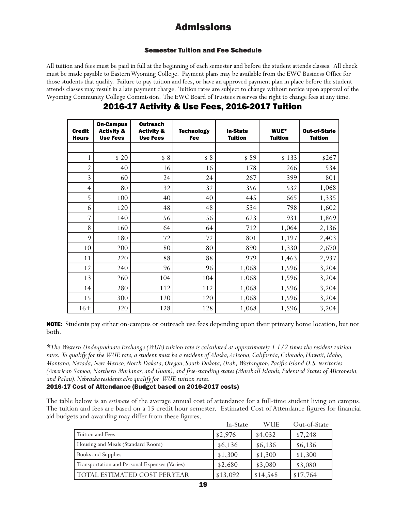### Semester Tuition and Fee Schedule

All tuition and fees must be paid in full at the beginning of each semester and before the student attends classes. All check must be made payable to Eastern Wyoming College. Payment plans may be available from the EWC Business Office for those students that qualify. Failure to pay tuition and fees, or have an approved payment plan in place before the student attends classes may result in a late payment charge. Tuition rates are subject to change without notice upon approval of the Wyoming Community College Commission. The EWC Board of Trustees reserves the right to change fees at any time.

| <b>Credit</b><br><b>Hours</b> | <b>On-Campus</b><br><b>Activity &amp;</b><br><b>Use Fees</b> | <b>Outreach</b><br><b>Activity &amp;</b><br><b>Use Fees</b> | <b>Technology</b><br>Fee | <b>In-State</b><br><b>Tuition</b> | WUE*<br><b>Tuition</b> | <b>Out-of-State</b><br><b>Tuition</b> |
|-------------------------------|--------------------------------------------------------------|-------------------------------------------------------------|--------------------------|-----------------------------------|------------------------|---------------------------------------|
|                               |                                                              |                                                             |                          |                                   |                        |                                       |
| 1                             | \$20                                                         | \$8                                                         | \$8                      | \$89                              | \$133                  | \$267                                 |
| $\overline{2}$                | 40                                                           | 16                                                          | 16                       | 178                               | 266                    | 534                                   |
| 3                             | 60                                                           | 24                                                          | 24                       | 267                               | 399                    | 801                                   |
| $\overline{4}$                | 80                                                           | 32                                                          | 32                       | 356                               | 532                    | 1,068                                 |
| 5                             | 100                                                          | 40                                                          | 40                       | 445                               | 665                    | 1,335                                 |
| 6                             | 120                                                          | 48                                                          | 48                       | 534                               | 798                    | 1,602                                 |
| 7                             | 140                                                          | 56                                                          | 56                       | 623                               | 931                    | 1,869                                 |
| 8                             | 160                                                          | 64                                                          | 64                       | 712                               | 1,064                  | 2,136                                 |
| 9                             | 180                                                          | 72                                                          | 72                       | 801                               | 1,197                  | 2,403                                 |
| 10                            | 200                                                          | 80                                                          | 80                       | 890                               | 1,330                  | 2,670                                 |
| 11                            | 220                                                          | 88                                                          | 88                       | 979                               | 1,463                  | 2,937                                 |
| 12                            | 240                                                          | 96                                                          | 96                       | 1,068                             | 1,596                  | 3,204                                 |
| 13                            | 260                                                          | 104                                                         | 104                      | 1,068                             | 1,596                  | 3,204                                 |
| 14                            | 280                                                          | 112                                                         | 112                      | 1,068                             | 1,596                  | 3,204                                 |
| 15                            | 300                                                          | 120                                                         | 120                      | 1,068                             | 1,596                  | 3,204                                 |
| $16+$                         | 320                                                          | 128                                                         | 128                      | 1,068                             | 1,596                  | 3,204                                 |

## 2016-17 Activity & Use Fees, 2016-2017 Tuition

NOTE: Students pay either on-campus or outreach use fees depending upon their primary home location, but not both.

\*The Western Undergraduate Exchange (WUE) tuition rate is calculated at approximately 1 1/2 times the resident tuition rates. To qualify for the WUE rate, a student must be a resident of Alaska, Arizona, California, Colorado, Hawaii, Idaho, Montana, Nevada, New Mexico, North Dakota, Oregon, South Dakota, Utah, Washington, Pacific Island U.S. territories (American Samoa, Northern Marianas, and Guam), and free-standing states (Marshall Islands, Federated States of Micronesia, and Palau). Nebraska residents also qualify for WUE tuition rates.

### 2016-17 Cost of Attendance (Budget based on 2016-2017 costs)

The table below is an *estimate* of the average annual cost of attendance for a full-time student living on campus. The tuition and fees are based on a 15 credit hour semester. Estimated Cost of Attendance figures for financial aid budgets and awarding may differ from these figures.

|                                               | In-State | <b>WUE</b> | Out-of-State |
|-----------------------------------------------|----------|------------|--------------|
| Tuition and Fees                              | \$2,976  | \$4,032    | \$7,248      |
| Housing and Meals (Standard Room)             | \$6,136  | \$6,136    | \$6,136      |
| Books and Supplies                            | \$1,300  | \$1,300    | \$1,300      |
| Transportation and Personal Expenses (Varies) | \$2,680  | \$3,080    | \$3,080      |
| TOTAL ESTIMATED COST PERYEAR                  | \$13,092 | \$14,548   | \$17,764     |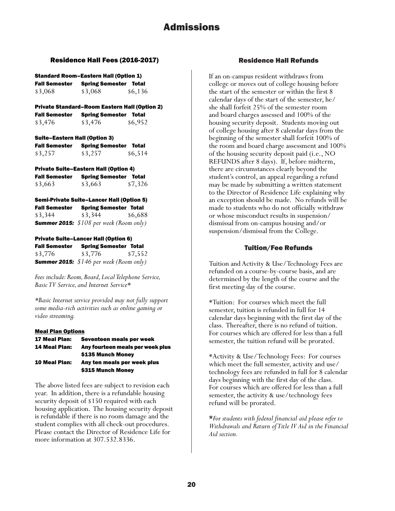#### Residence Hall Fees (2016-2017)

#### Standard Room–Eastern Hall (Option 1)

| <b>Fall Semester</b> | <b>Spring Semester Total</b> |         |
|----------------------|------------------------------|---------|
| \$3,068              | \$3,068                      | \$6,136 |

Private Standard–Room Eastern Hall (Option 2) Fall Semester Spring Semester Total \$3,476 \$3,476 \$6,952

## Suite–Eastern Hall (Option 3) Fall Semester Spring Semester Total

| \$6,514 |
|---------|
|         |

| <b>Private Suite-Eastern Hall (Option 4)</b> |                        |         |  |
|----------------------------------------------|------------------------|---------|--|
| <b>Fall Semester</b>                         | <b>Spring Semester</b> | Total   |  |
| \$3,663                                      | \$3,663                | \$7,326 |  |

#### Semi-Private Suite–Lancer Hall (Option 5) Fall Semester Spring Semester Total \$3,344 \$3,344 \$6,688 *Summer 2015: \$108 per week (Room only)*

#### Private Suite–Lancer Hall (Option 6)

| <b>Fall Semester</b> | <b>Spring Semester Total</b>                    |         |
|----------------------|-------------------------------------------------|---------|
| \$3,776              | \$3,776                                         | \$7,552 |
|                      | <b>Summer 2015:</b> $$146$ per week (Room only) |         |

*Fees include: Room, Board, Local Telephone Service, Basic TV Service, and Internet Service\**

*\*Basic Internet service provided may not fully support some media-rich activities such as online gaming or video streaming.*

#### Meal Plan Options

| <b>17 Meal Plan:</b> | Seventeen meals per week         |
|----------------------|----------------------------------|
| <b>14 Meal Plan:</b> | Any fourteen meals per week plus |
|                      | \$135 Munch Money                |
| <b>10 Meal Plan:</b> | Any ten meals per week plus      |
|                      | \$315 Munch Money                |

The above listed fees are subject to revision each year. In addition, there is a refundable housing security deposit of \$150 required with each housing application. The housing security deposit is refundable if there is no room damage and the student complies with all check-out procedures. Please contact the Director of Residence Life for more information at 307.532.8336.

### Residence Hall Refunds

If an on-campus resident withdraws from college or moves out of college housing before the start of the semester or within the first 8 calendar days of the start of the semester, he/ she shall forfeit 25% of the semester room and board charges assessed and 100% of the housing security deposit. Students moving out of college housing after 8 calendar days from the beginning of the semester shall forfeit 100% of the room and board charge assessment and 100% of the housing security deposit paid (i.e., NO REFUNDS after 8 days). If, before midterm, there are circumstances clearly beyond the student's control, an appeal regarding a refund may be made by submitting a written statement to the Director of Residence Life explaining why an exception should be made. No refunds will be made to students who do not officially withdraw or whose misconduct results in suspension/ dismissal from on-campus housing and/or suspension/dismissal from the College.

#### Tuition/Fee Refunds

Tuition and Activity & Use/Technology Fees are refunded on a course-by-course basis, and are determined by the length of the course and the first meeting day of the course.

\*Tuition: For courses which meet the full semester, tuition is refunded in full for 14 calendar days beginning with the first day of the class. Thereafter, there is no refund of tuition. For courses which are offered for less than a full semester, the tuition refund will be prorated.

\*Activity & Use/Technology Fees: For courses which meet the full semester, activity and use/ technology fees are refunded in full for 8 calendar days beginning with the first day of the class. For courses which are offered for less than a full semester, the activity & use/technology fees refund will be prorated.

**\****For students with federal financial aid please refer to Withdrawals and Return of Title IV Aid in the Financial Aid section.*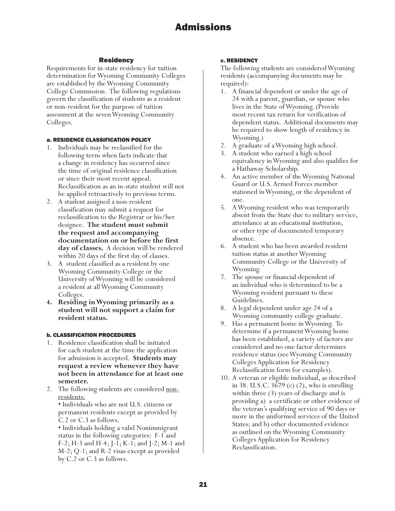## Residency

Requirements for in-state residency for tuition determination for Wyoming Community Colleges are established by the Wyoming Community College Commission. The following regulations govern the classification of students as a resident or non-resident for the purpose of tuition assessment at the seven Wyoming Community Colleges.

#### a. RESIDENCE CLASSIFICATION POLICY

- 1. Individuals may be reclassified for the following term when facts indicate that a change in residency has occurred since the time of original residence classification or since their most recent appeal. Reclassification as an in-state student will not be applied retroactively to previous terms.
- 2. A student assigned a non-resident classification may submit a request for reclassification to the Registrar or his/her designee. **The student must submit the request and accompanying documentation on or before the first day of classes.** A decision will be rendered within 20 days of the first day of classes.
- 3. A student classified as a resident by one Wyoming Community College or the University of Wyoming will be considered a resident at all Wyoming Community Colleges.
- **4. Residing in Wyoming primarily as a student will not support a claim for resident status.**

### b. CLASSIFICATION PROCEDURES

- 1. Residence classification shall be initiated for each student at the time the application for admission is accepted. **Students may request a review whenever they have not been in attendance for at least one semester.**
- 2. The following students are considered nonresidents:

• Individuals who are not U.S. citizens or permanent residents except as provided by C.2 or C.3 as follows.

• Individuals holding a valid Nonimmigrant status in the following categories: F-1 and F-2; H-3 and H-4; J-1; K-1; and J-2; M-1 and M-2; Q-1; and R-2 visas except as provided by C.2 or C.3 as follows.

#### c. RESIDENCY

The following students are considered Wyoming residents (accompanying documents may be required):

- 1. A financial dependent or under the age of 24 with a parent, guardian, or spouse who lives in the State of Wyoming. (Provide most recent tax return for verification of dependent status. Additional documents may be required to show length of residency in Wyoming.)
- 2. A graduate of a Wyoming high school.
- 3. A student who earned a high school equivalency in Wyoming and also qualifies for a Hathaway Scholarship.
- 4. An active member of the Wyoming National Guard or U.S. Armed Forces member stationed in Wyoming, or the dependent of one.
- 5. A Wyoming resident who was temporarily absent from the State due to military service, attendance at an educational institution, or other type of documented temporary absence.
- 6. A student who has been awarded resident tuition status at another Wyoming Community College or the University of Wyoming.
- 7. The spouse or financial dependent of an individual who is determined to be a Wyoming resident pursuant to these Guidelines.
- 8. A legal dependent under age 24 of a Wyoming community college graduate.
- 9. Has a permanent home in Wyoming. To determine if a permanent Wyoming home has been established, a variety of factors are considered and no one factor determines residence status (see Wyoming Community Colleges Application for Residency Reclassification form for examples).
- 10. A veteran or eligible individual, as described in 38. U.S.C. 3679 (c) (2), who is enrolling within three (3) years of discharge and is providing a) a certificate or other evidence of the veteran's qualifying service of 90 days or more in the uniformed services of the United States; and b) other documented evidence as outlined on the Wyoming Community Colleges Application for Residency Reclassification.